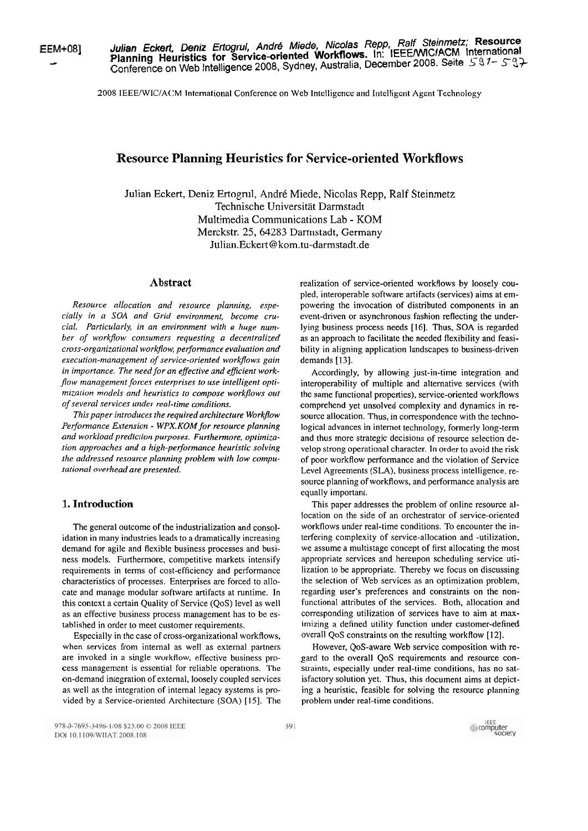EEM+08] Julian Eckert, Deniz Ertogrul, Andre Miede, Nicolas Repp, Ralf Stein International<br>**- Planning Heuristics for Service-oriented Workflows. In: IEEE/WIC/ACM International<br>Conference on Web Intelligence 2008. Sydney,** Conference on Web Intelligence 2008, Sydney, Australia, December 2008. Seite 53 **7- 535** 

2008 IEEEIWICIACM International Conference on Web lntelligence and Intelligent Agent Technology

## **Resource Planning Heuristics for Service-oriented Workflows**

Julian Eckert, Deniz Ertogrul, Andre Miede, Nicolas Repp, Ralf Steinmetz Technische Universität Darmstadt Multimedia Communications Lab - KOM Merckstr. 25, 64283 Darmstadt, Germany **Julian.Eckert@kom.tu-darmstadt.de** 

#### **Abstract**

Resource allocation and resource planning, espe*cially in a SOA und Grid erivironment, become crucial. Particularly, in an environment with a huge number of workjlow consumers requesting a decentralized cross-organizational workflow, performance evaluation and execution-rnanagement of service-oriented workjlows gain*  in importance. The need for an effective and efficient work*jlow managemenl forces enterprises to use intelligent optimization models und heuristics to compose workJIows out of several services under real-time condiiions.* 

*This paper introduces the required architecture Workflow Perfotmance Extension* - *WPX.KOM for resource planning und workload prediclion purposes. Furthermore, oprimization approaches und a high-performance heurisric solving rhe acidressed resource planning problem with low computational overhead are presenred.* 

### **1. Introduction**

The general outcome of the industrialization and consolidation in many industries leads to a dramatically increasing demand for agile and flexible business processes and business models. Furthermore, competitive markets intensify requirements in terms of cost-efficiency and performance characteristics of processes. Enterprises are forced to allocate and manage modular software artifacts at runtime. In this context a certain Quality of Service (QoS) level as well as an effective business process management has to be established in order to meet customer requirements.

Especially in the case of cross-organizational workflows, when services from internal as well as external partners are invoked in a single workflow, effective business process management is essential for reliable operations. The on-demand integration of external, loosely coupled services as well as the integration of internal legacy systems is provided by a Service-oriented Architecture (SOA) **[IS].** The realization of sewice-oriented workflows by loosely coupled, interoperable software artifacts (services) aims at empowering the invocation of distributed components in an event-driven or asynchronous fashion reflecting the underlying business process needs [16]. Thus, SOA is regarded as an approach to facilitate the needed flexibility and feasibility in aligning application landscapes to business-driven demands [13].

Accordingly, by allowing just-in-time integration and interoperability of multiple and alternative services (with the Same functional properties), sewice-oriented workfiows cornprehend yet unsolved complexity and dynamics in resource allocation. Thus, in correspondence with the technological advances in intemet technology, formerly long-term and thus more strategic decisions of resource selection develop strong operational character. In order to avoid the risk of poor workflow perforrnance and the violation of Service Level Agreements (SLA), business process intelligence, resource planning of workfiows, and performance analysis are equally important.

This paper addresses the problem of online resource allocation on the side of an orchestrator of service-oriented workflows under real-time conditions. To encounter the interfering cornplexity of service-allocation and -utilization, we assume a multistage concept of first allocating the most appropriate services and hereupon scheduling service utilization to be appropriate. Thereby we focus on discussing the selection of Web services as an optimization problem, regarding user's preferences and constraints on the nonfunctional attributes of the sewices. Both, allocation and corresponding utilization of services have to aim at maximizing a defined utility function under customer-defined overall QoS constraints on the resulting workflow [12].

However, QoS-aware Web service composition with regard to the overall QoS requirernents and resource constraints, especially under real-time conditions, has no satisfactory solution yet. Thus, this docurnent aims at depicting a heuristic, feasible for solving the resource planning problem under real-time conditions.

591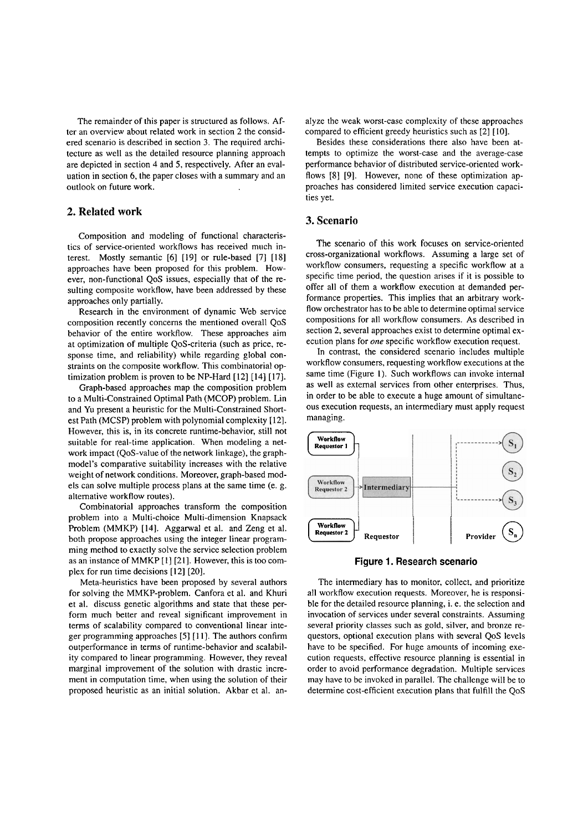The remainder of this paper is structured as follows. After an overview about related work in section 2 the considered scenario is described in section **3.** The required architecture as well as the detailed resource planning approach are depicted in section 4 and 5, respectively. After an evaluation in section 6, the paper closes with a summary and an outlook on future work.

#### **2. Related work**

Composition and modeling of functional characteristics of service-oriented workflows has received much interest. Mostly semantic [6] [19] or rule-based [7] [18] approaches have been proposed for this problem. However, non-functional QoS issues, especially that of the resulting composite workflow, have been addressed by these approaches only partially.

Research in the environment of dynamic Web sewice composition recently concems the mentioned overall QoS behavior of the entire workflow. These approaches aim at optimization of multiple QoS-criteria (such as price, response time, and reliability) while regarding global constraints on the composite workflow. This combinatorial optimization problem is proven to be NP-Hard  $[12] [14] [17]$ .

Graph-based approaches map the composition problem to a Multi-Constrained Optimal Path (MCOP) problem. Lin and Yu present a heuristic for the Multi-Constrained Shortest Path (MCSP) problem with polynomial complexity [12]. However, this is, in its concrete runtime-behavior, still not suitable for real-time application. When modeling a network impact (QoS-value of the network linkage), the graphmodel's comparative suitability increases with the relative weight of network conditions. Moreover, graph-based models can solve multiple process plans at the Same time (e. g. alternative workflow routes).

Combinatorial approaches transform the composition problem into a Multi-choice Multi-dimension Knapsack Problem (MMKP) [14]. Aggarwal et al. and Zeng et al. both propose approaches using the integer linear programming method to exactly solve the service selection problem as an instance of MMKP [I] [21]. However, this is too complex for run time decisions [I21 [20].

Meta-heuristics have been proposed by several authors for solving the MMKP-problem. Canfora et al. and Khuri et al. discuss genetic algorithms and state that these perform much better and reveal significant improvement in terms of scalability compared to conventional linear integer programming approaches [5] [I I]. The authors confirm outperformance in terms of runtime-behavior and scalability compared to linear programming. However, they reveal marginal improvement of the solution with drastic increment in computation time, when using the solution of their proposed heuristic as an initial solution. Akbar et al. an-

alyze the weak worst-case complexity of these approaches compared to efficient greedy heuristics such as [2] [IO].

Besides these considerations there also have been attempts to optimize the worst-case and the average-case performance behavior of distributed service-oriented workflows [8] [9]. However, none of these optimization approaches has considered limited service execution capacities yet.

#### **3. Scenario**

The scenario of this work focuses on service-oriented cross-organizational workflows. Assuming a large set of workflow consumers, requesting a specific workflow at a specific time period, the question arises if it is possible to offer all of them a workflow execution at demanded performance properties. This implies that an arbitrary workflow orchestrator has to be able to determine optimal sewice compositions for all workflow consumers. As described in section 2, several approaches exist to determine optimal execution plans for *one* specific workflow execution request.

In contrast, the considered scenario includes multiple workflow consumers, requesting workflow executions at the same time (Figure 1). Such workflows can invoke intemal as well as external services from other enterprises. Thus, in order to be able to execute a huge amount of simultaneous execution requests, an intermediary must apply request managing.



**Figure 1. Research scenario** 

The intermediary has to monitor, collect, and prioritize all workflow execution requests. Moreover, he is responsible for the detailed resource planning, i. e. the selection and invocation of services under several constraints. Assuming several priority classes such as gold, silver, and bronze requestors, optional execution plans with several QoS levels have to be specified. For huge amounts of incoming execution requests, effective resource planning is essential in order to avoid performance degradation. Multiple sewices may have to be invoked in parallel. The challenge will be to determine cost-efficient execution plans that fulfill the QoS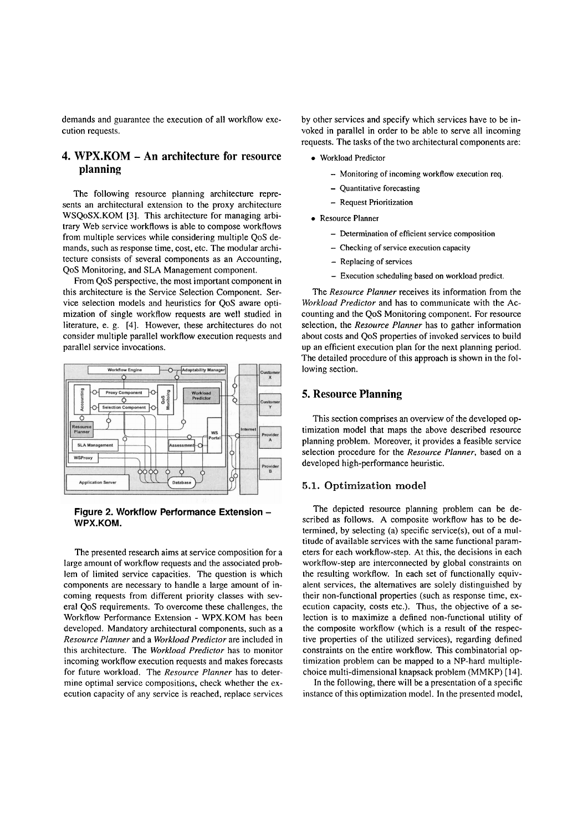demands and guarantee the execution of all workflow execution requests.

## **4. WPX.KOM** - **An architecture for resource planning**

The following resource planning architecture represents an architectural extension to the proxy architecture WSQoSX.KOM [3]. This architecture for managing arbitrary Web service workflows is able to compose workflows from multiple services while considering multiple QoS demands, such as response time, cost, etc. The modular architecture consists of several components as an Accounting, QoS Monitoring, and SLA Management component.

From QoS perspective, the most important component in this architecture is the Service Selection Component. Service selection models and heuristics for QoS aware optimization of single workflow requests are well studied in literature, e. g. [4]. However, these architectures do not consider multiple parallel workflow execution requests and parallel service invocations.



# **Figure 2. Workflow Performance Extension** - **WPX.KOM.**

The presented research aims at service composition for a lage amount of workflow requests and the associated problem of Iimited service capacities. The question is which components are necessary to handle a large amount of incoming requests from different priority classes with several QoS requirements. To overcome these challenges, the Workflow Performance Extension - WPX.KOM has been developed. Mandatory architectural components, such as a *Resource Planner* and a *Workload Predictor* are included in this architecture. The *Workload Predictor* has to monitor incoming workflow execution requests and makes forecasts for future workload. The *Resource Planner* has to determine optimal service compositions, check whether the execution capacity of any service is reached, replace scrvices by other services and specify which services have to be invoked in parallel in order to be able to serve all incoming requests. The tasks of the two architectural components are:

- Workload Predictor
	- Monitoring of incoming workflow execution req.
	- Quantitative forecasting
	- Request Prioritization
- Resource Planner
	- Determination of efficient service composition
	- Checking of service execution capacity
	- Replacing of services
	- Execution scheduling based **on** workload predict.

The *Resource Planner* receives its information from the *Workload Predictor* and has to communicate with the Accounting and the QoS Monitoring component. For resource selection, the *Resource Planner* has to gather information about costs and QoS properties of invoked services to build up an efficient execution plan for the next planning period. The detailed procedure of this approach is shown in the following section.

#### **5. Resource Planning**

This section comprises an overview of the developed optimization model that maps the above described resource planning problem. Moreover, it provides a feasible service selection procedure for the *Resource Planner,* based on a developed high-performance heuristic.

#### 5.1. Optimization model

The depicted resource planning problem can be described as follows. **A** composite workflow has to be determined, by selecting (a) specific service(s), out of a multitude of available services with the same functional parameters for each workflow-step. At this, the decisions in each workflow-step are interconnected by global constraints on the resulting workflow. In each set of functionally equivalent services, the alternatives are solely distinguished by their non-functional properties (such as response time, execution capacity, costs etc.). Thus, the objective of a selection is to maximize a defined non-functional utility of the composite workflow (which is a result of the respective properties of the utilized services), regarding defined constraints on the entire workflow. This combinatorial optimization problem can be mapped to a NP-hard multiplechoice multi-dimensional knapsack problem (MMKP) [14].

In the following, there will be a presentation of a specific instance of this optimization model. In the presented model,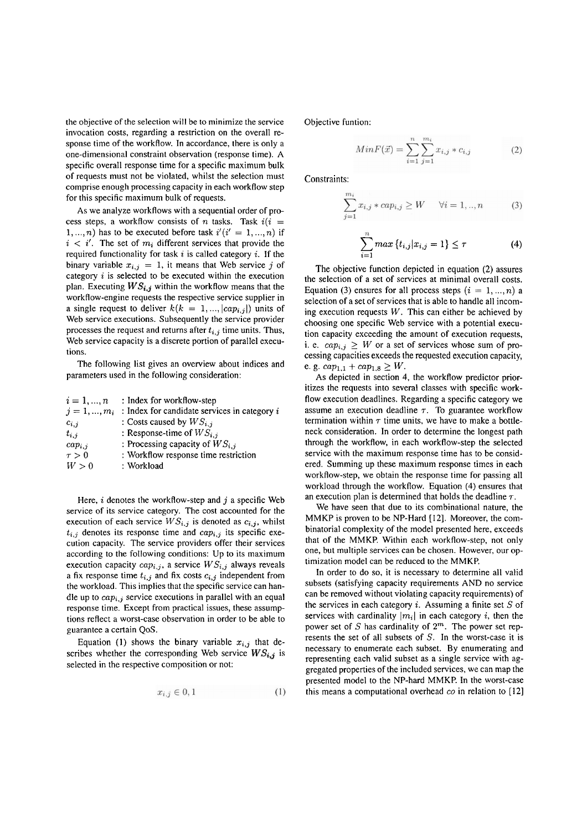the objective of the selection will be to minimize the service invocation costs, regarding a restriction on the overall response time of the workflow. In accordance, there is only a one-dimensional constraint observation (response time). A specific overall response time for a specific maximum bulk of requests must not be violated, whilst the selection must cornprise enough processing capacity in each workflow step for this specific maximum bulk of requests.

As we analyze workflows with a sequential order of process steps, a workflow consists of *n* tasks. Task *i(i* = 1, ..., *n*) has to be executed before task  $i'(i' = 1, ..., n)$  if  $i < i'$ . The set of  $m_i$  different services that provide the required functionality for task *i* is called category *i.* If the binary variable  $x_{i,j} = 1$ , it means that Web service *j* of category *i* is selected to be executed within the execution plan. Executing  $WS_{i,j}$  within the workflow means that the workflow-engine requests the respective service supplier in a single request to deliver  $k(k = 1, ..., |cap_{i,j}|)$  units of Web service executions. Subsequently the service provider processes the request and returns after  $t_{i,j}$  time units. Thus, Web service capacity is a discrete portion of parallel executions.

The following list gives an overview about indices and parameters used in the following consideration:

| : Index for workflow-step                      |
|------------------------------------------------|
| : Index for candidate services in category $i$ |
| : Costs caused by $WS_{i,j}$                   |
| : Response-time of $WS_{i,j}$                  |
| : Processing capacity of $WS_{i,j}$            |
| : Workflow response time restriction           |
| : Workload                                     |
|                                                |

Here,  $i$  denotes the workflow-step and  $j$  a specific Web service of its service category. The cost accounted for the execution of each service  $WS_{i,j}$  is denoted as  $c_{i,j}$ , whilst  $t_{i,j}$  denotes its response time and  $cap_{i,j}$  its specific execution capacity. The service providers offer their services according to the following conditions: Up to its maximum execution capacity  $cap_{i,j}$ , a service  $WS_{i,j}$  always reveals a fix response time  $t_{i,j}$  and fix costs  $c_{i,j}$  independent from the workload. This implies that the specific service can handle up to *capi,j* service executions in parallel with an equal response time. Except from practical issues, these assumptions reflect a worst-case observation in order to be able to guarantee a certain QoS.

Equation (1) shows the binary variable  $x_{i,j}$  that describes whether the corresponding Web service  $WS_{i,j}$  is selected in the respective composition or not:

$$
x_{i,j} \in 0, 1 \tag{1}
$$

Objective funtion:

$$
MinF(\vec{x}) = \sum_{i=1}^{n} \sum_{j=1}^{m_i} x_{i,j} * c_{i,j}
$$
 (2)

Constraints:

$$
\sum_{j=1}^{m_i} x_{i,j} * cap_{i,j} \ge W \quad \forall i = 1, ..., n
$$
 (3)

$$
\sum_{i=1}^{n} \max \left\{ t_{i,j} | x_{i,j} = 1 \right\} \leq \tau \tag{4}
$$

The objective function depicted in equation (2) assures the selection of a Set of services at minimal overall costs. Equation (3) ensures for all process steps  $(i = 1, ..., n)$  a selection of a set of services that is able to handle all incoming execution requests *W.* This can either be achieved by choosing one specific Web service with a potential execution capacity exceeding the amount of execution requests, i. e.  $cap_{i,j} \geq W$  or a set of services whose sum of processing capacities exceeds the requested execution capacity, e. g.  $cap_{1,1} + cap_{1,8} \geq W$ .

As depicted in section 4, the workflow predictor prioritizes the requests into several classes with specific workflow execution deadlines. Regarding a specific category we assume an execution deadline  $\tau$ . To guarantee workflow termination within  $\tau$  time units, we have to make a bottleneck consideration. In order to determine the longest path through the workflow, in each workflow-step the selected service with the maximum response time has to be considered. Summing up these maximum response times in each workflow-step, we obtain the response time for passing all workload through the workflow. Equation (4) ensures that an execution plan is determined that holds the deadline *T.* 

We have seen that due to its combinational nature, the MMKP is proven to be NP-Hard [12]. Moreover, the combinatorial complexity of the model presented here, exceeds that of the MMKP. Within each workflow-step, not only one, but multiple services can be chosen. However, our optimization model can be reduced to the MMKP.

In order to do so, it is necessary to determine all valid subsets (satisfying capacity requirements AND no service can be rernoved without violating capacity requirements) of the services in each category *i.* Assuming a finite set *S* of services with cardinality  $|m_i|$  in each category i, then the power set of *S* has cardinality of **2m.** The power set represents the set of all subsets of  $S$ . In the worst-case it is necessary to enumerate each subset. By enumerating and representing each valid subset as a single service with aggregated properties of the included services, we can map the presented model to the NP-hard MMKP. In the worst-case this means a computational overhead *co* in relation to [12]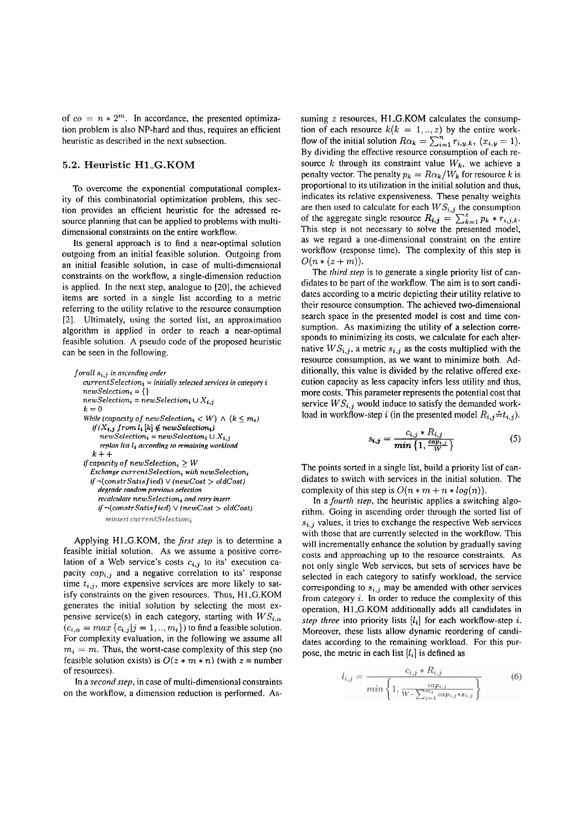of  $co = n * 2<sup>m</sup>$ . In accordance, the presented optimization problem is also NP-hard and thus, requires an efficient heuristic as described in the next subsection.

#### 5.2. **Heuristic H1-G.KOM**

To overcome the exponential computational complexity of this combinatorial optimization problem, this section provides an efficient heuristic for the adressed resource planning that can be applied to problems with multidimensional constraints on the entire workflow.

Its general approach is to find a near-optimal solution outgoing from an initial feasible solution. Outgoing from an initial feasible solution, in case of multi-dimensional constraints on the workflow, a single-dimension reduction is applied. In the next step, analogue to [20], the achieved items are sorted in a single list according to a metric referring to the utility relative to the resource consumption [2]. Ultimately, using the sorted list, an approximation algorithm is applied in order to reach a near-optimal feasible solution. A pseudo code of the proposed heuristic can be seen in the following.

```
While (capncity o f newSelectioni < W) A (k 5 mi) load in workflow-step i (in the presented model Ri,jGti,j). 
 if (X_{i,j} \text{ from } l_i [k] \notin newSelection_i)newSelection_i = newSelection_i \cup X_{i,j}replan list l_i according to remaining workload
 k + +if capacity of newSelection<sub>i</sub> \geq W
Exchange currentSelection_i with newSelection<sub>i</sub>
if \neg (constructed) \lor (newCost > oldCost)degrade random previow selecrion 
  recalculore newselection, und rerry inserr 
  ij-(constrSati8 fied) V (newcost > oldcost)
```

```
reinsert currentSelection;
```
Applying H1<sub>-G</sub>.KOM, the *first step* is to determine a feasible initial solution. As we assume a positive correlation of a Web service's costs  $c_{i,j}$  to its' execution capacity  $cap_{i,j}$  and a negative correlation to its' response time  $t_{i,j}$ , more expensive services are more likely to satisfy constraints on the given resources. Thus, H1-G.KOM generates the initial solution by selecting the most expensive service(s) in each category, starting with  $WS_{i,\alpha}$  $(c_{i,\alpha} = max \{c_{i,j} | j = 1, ..., m_i\})$  to find a feasible solution. For complexity evaluation, in the following we assume all  $m_i = m$ . Thus, the worst-case complexity of this step (no feasible solution exists) is  $O(z * m * n)$  (with  $z =$  number of resources).

In a *secondstep,* in case of multi-dimensional constraints on the workflow, a dimension reduction is performed. Assuming  $z$  resources, H1<sub>-G</sub>.KOM calculates the consumption of each resource  $k(k = 1, \ldots, z)$  by the entire workflow of the initial solution  $R\alpha_k = \sum_{i=1}^n r_{i,y,k}, (x_{i,y} = 1).$ By dividing the effective resource consumption of each resource  $k$  through its constraint value  $W_k$ , we achieve a penalty vector. The penalty  $p_k = R\alpha_k/W_k$  for resource k is proportional to its utilization in the initial solution and thus, indicates its relative expensiveness. These penalty weights are then used to calculate for each  $WS_{i,j}$  the consumption of the aggregate single resource  $R_{i,j} = \sum_{k=1}^{z} p_k * r_{i,j,k}$ . This step is not necessary to solve the presented model, as we regard a one-dimensional constraint on the entire workflow (response time). The complexity of this step is  $O(n * (z + m)).$ 

The *third step* is to generate a single priority list of candidates to be part of the workflow. The aim is to sort candidates according to a metric depicting their utility relative to their resource consumption. The achieved two-dimensional search space in the presented model is cost and time consumption. As maximizing the utility of a selection corresponds to minimizing its costs, we calculate for each alternative  $WS_{i,j}$ , a metric  $s_{i,j}$  as the costs multiplied with the resource consumption, as we Want to minimize both. Ad*forall s<sub>i,j</sub> in ascending order forall s<sub>i,j</sub> in ascending order ditionally, this value is divided by the relative offered exe- current Selection<sub>i</sub>* = *initially selected services in category i* cution capacity as *currentSelection<sub>i</sub>* = *initially selected services in category i* cution capacity as less capacity infers less utility and thus, new Selection<sub>i</sub> = {}<br>more costs. This parameter represents the potential cost that *newSelection<sub>i</sub>* = {}<br> *nore* costs. This parameter represents the potential cost that<br> *newSelection<sub>i</sub>* = *newSelection<sub>i</sub>*  $\cup X_{i,j}$ <br> *service W.S., would induce to satisfy the demanded work. newSelection<sub>i</sub>* = *newSelection*<sub>i</sub>  $\cup$   $X_{i,j}$  **service**  $WS_{i,j}$  would induce to satisfy the demanded work-

$$
s_{i,j} = \frac{c_{i,j} * R_{i,j}}{\min\left\{1, \frac{cap_{i,j}}{W}\right\}}\tag{5}
$$

The points sorted in a single list, build a priority list of candidates to switch with services in the initial solution. The complexity of this step is  $O(n * m + n * log(n))$ .

In a *fourth step*, the heuristic applies a switching algorithm. Going in ascending order through the sorted list of  $s_{i,j}$  values, it tries to exchange the respective Web services with those that are currently selected in the workflow. This will incrementally enhance the solution by gradually saving costs and approaching up to the resource constraints. As not only single Web services, but sets of services have be selected in each category to satisfy workload, the service corresponding to  $s_{i,j}$  may be amended with other services from category *i.* In order to reduce the complexity of this operation, HI-G.KOM additionally adds all candidates in *step three* into priority lists  $[l_i]$  for each workflow-step i. Moreover, these Iists allow dynamic reordering of candidates according to the remaining workload. For this purpose, the metric in each list  $\lfloor l_i \rfloor$  is defined as

$$
l_{i,j} = \frac{c_{i,j} * R_{i,j}}{\min\left\{1, \frac{cap_{i,j}}{W - \sum_{i=1}^{m_i} cap_{i,j} * x_{i,j}}\right\}}
$$
(6)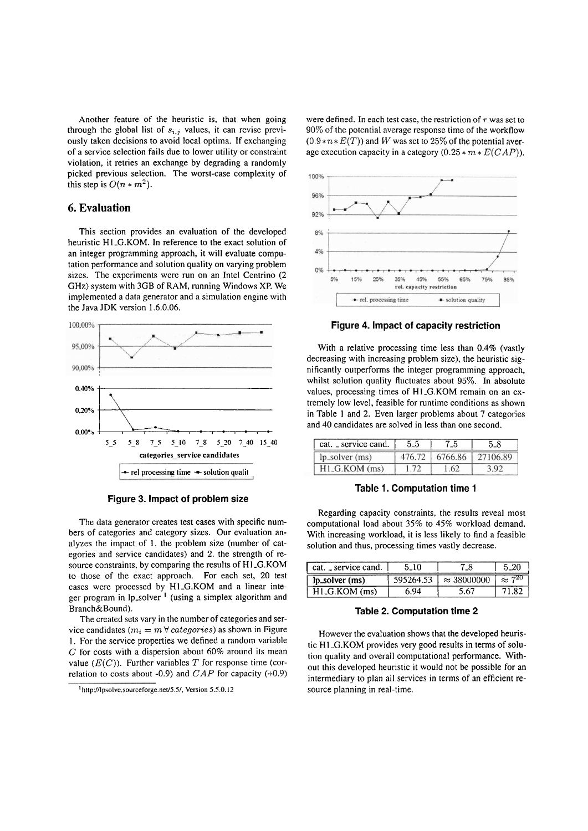Another feature of the heuristic is, that when going through the global list of  $s_{i,j}$  values, it can revise previously taken decisions to avoid local optima. If exchanging of a service selection fails due to lower utility or constraint violation, it retries an exchange by degrading a randomly picked previous selection. The worst-case complexity of this step is  $O(n * m^2)$ .

#### **6. Evaluation**

This section provides an evaluation of the developed heuristic H1<sub>-G</sub>.KOM. In reference to the exact solution of an integer programming approach, it will evaluate computation performance and solution quality on varying problem sizes. The experiments were run on an Intel Centrino (2 GHz) System with 3GB of RAM, running Windows XP. We implemented a data generator and a simulation engine with the Java JDK version 1.6.0.06.



**Figure 3. Impact of problem size** 

The data generator creates test cases with specific numbers of categories and category sizes. Our evaluation analyzes the impact of 1. the problem size (number of categories and service candidates) and 2. the strength of resource constraints, by comparing the results of H1<sub>-G</sub>.KOM to those of the exact approach. For each set, 20 test cases were processed by Hl-G.KOM and a linear integer program in Ip-solver ' (using a Simplex algorithm and Branch&Bound).

The created sets vary in the number of categories and service candidates ( $m_i = m \forall$  categories) as shown in Figure **1.** For the service properties we defined a random variable  $C$  for costs with a dispersion about 60% around its mean value  $(E(C))$ . Further variables T for response time (correlation to costs about -0.9) and  $CAP$  for capacity (+0.9)

were defined. In each test case, the restriction of  $\tau$  was set to 90% of the potential average response time of the workflow  $(0.9*n*E(T))$  and W was set to 25% of the potential average execution capacity in a category  $(0.25 * m * E(CAP))$ .



#### **Figure 4. Impact of capacity restriction**

With a relative processing time less than 0.4% (vastly decreasing with increasing problem size), the heuristic significantly outperforms the integer programming approach, whilst solution quality fluctuates about 95%. In absolute values, processing times of H1<sub>-G</sub>.KOM remain on an extremely low level, feasible for runtime conditions as shown in Table 1 and 2. Even larger problems about 7 categories and 40 candidates are solved in less than one second.

| cat. _ service cand. | 55     |         |          |
|----------------------|--------|---------|----------|
| $lp_solver$ (ms)     | 476.72 | 6766.86 | 27106.89 |
| $H1_G.KOM(ms)$       |        | .62     | 3.92     |

**Table 1. Computation time 1** 

Regarding capacity constraints, the results reveal most computational load about 35% to 45% workload demand. With increasing workload, it is less likely to find a feasible solution and thus, processing times vastly decrease.

| l cat. _ service cand.       | 5.10 |                                   | $5-20$                 |
|------------------------------|------|-----------------------------------|------------------------|
| $\log_{10}$ lp_solver $(ms)$ |      | $595264.53 \mid \approx 38000000$ | $\perp \approx 7^{20}$ |
| H <sub>1</sub> -G.KOM (ms)   | 6.94 | 5.67                              | 71.82                  |

#### **Table 2. Computation time 2**

However the evaluation shows that the developed heuristic Hl-G.KOM provides very good results in terms of solution quality and overall computational performance. Without this developed heuristic it would not be possible for an intermediary to plan all services in terms of an efficient resource planning in real-time.

I **http://lpsolve.soiirceforge.net/5.5I,** Version **5.5.0.12**